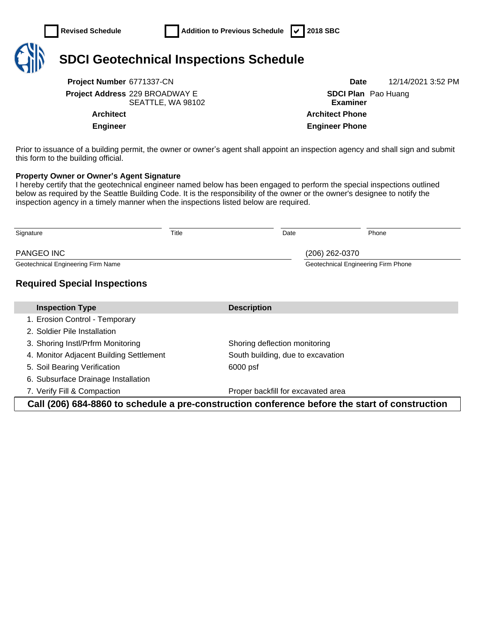

**Project Number** 6771337-CN **Date** 12/14/2021 3:52 PM **Project Address** 229 BROADWAY E

SEATTLE, WA 98102

**SDCI Plan**  Pao Huang **Examiner Architect Architect Phone Engineer Engineer Phone**

Prior to issuance of a building permit, the owner or owner's agent shall appoint an inspection agency and shall sign and submit this form to the building official.

## **Property Owner or Owner's Agent Signature**

I hereby certify that the geotechnical engineer named below has been engaged to perform the special inspections outlined below as required by the Seattle Building Code. It is the responsibility of the owner or the owner's designee to notify the inspection agency in a timely manner when the inspections listed below are required.

| Signature                                                                                      | Title |                                    | Date |                                     | Phone |  |
|------------------------------------------------------------------------------------------------|-------|------------------------------------|------|-------------------------------------|-------|--|
| <b>PANGEO INC</b>                                                                              |       |                                    |      | (206) 262-0370                      |       |  |
| Geotechnical Engineering Firm Name                                                             |       |                                    |      | Geotechnical Engineering Firm Phone |       |  |
| <b>Required Special Inspections</b>                                                            |       |                                    |      |                                     |       |  |
| <b>Inspection Type</b>                                                                         |       | <b>Description</b>                 |      |                                     |       |  |
| 1. Erosion Control - Temporary                                                                 |       |                                    |      |                                     |       |  |
| 2. Soldier Pile Installation                                                                   |       |                                    |      |                                     |       |  |
| 3. Shoring Instl/Prfrm Monitoring                                                              |       | Shoring deflection monitoring      |      |                                     |       |  |
| 4. Monitor Adjacent Building Settlement                                                        |       | South building, due to excavation  |      |                                     |       |  |
| 5. Soil Bearing Verification                                                                   |       | 6000 psf                           |      |                                     |       |  |
| 6. Subsurface Drainage Installation                                                            |       |                                    |      |                                     |       |  |
| 7. Verify Fill & Compaction                                                                    |       | Proper backfill for excavated area |      |                                     |       |  |
| Call (206) 684-8860 to schedule a pre-construction conference before the start of construction |       |                                    |      |                                     |       |  |